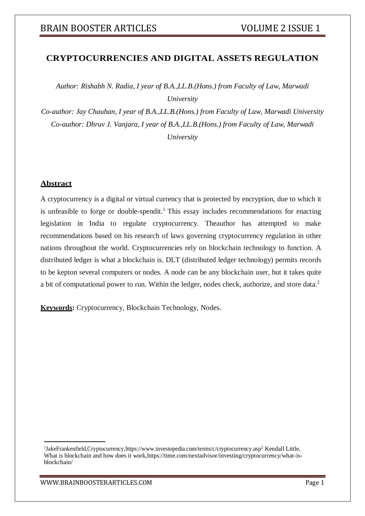## **CRYPTOCURRENCIES AND DIGITAL ASSETS REGULATION**

*Author: Rishabh N. Radia, I year of B.A.,LL.B.(Hons.) from Faculty of Law, Marwadi University*

*Co-author: Jay Chauhan, I year of B.A.,LL.B.(Hons.) from Faculty of Law, Marwadi University Co-author: Dhruv J. Vanjara, I year of B.A.,LL.B.(Hons.) from Faculty of Law, Marwadi University*

## **Abstract**

A cryptocurrency is a digital or virtual currency that is protected by encryption, due to which it is unfeasible to forge or double-spendit.<sup>1</sup> This essay includes recommendations for enacting legislation in India to regulate cryptocurrency. Theauthor has attempted to make recommendations based on his research of laws governing cryptocurrency regulation in other nations throughout the world. Cryptocurrencies rely on blockchain technology to function. A distributed ledger is what a blockchain is. DLT (distributed ledger technology) permits records to be kepton several computers or nodes. A node can be any blockchain user, but it takes quite a bit of computational power to run. Within the ledger, nodes check, authorize, and store data.<sup>2</sup>

**Keywords:** Cryptocurrency, Blockchain Technology, Nodes.

*<sup>1</sup>* JakeFrankenfield,Cryptocurrency,https://www.investopedia.com/terms/c/cryptocurrency.asp<sup>2</sup> Kendall Little, What is blockchain and how does it work,https://time.com/nextadvisor/investing/cryptocurrency/what-isblockchain/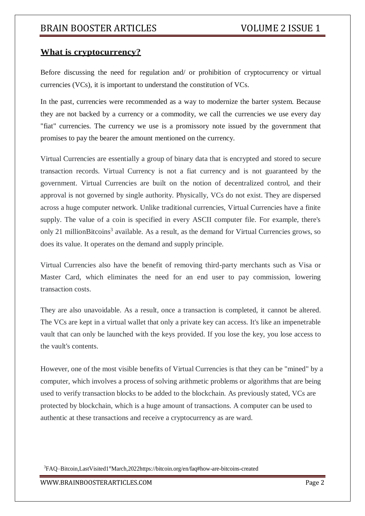### **What is cryptocurrency?**

Before discussing the need for regulation and/ or prohibition of cryptocurrency or virtual currencies (VCs), it is important to understand the constitution of VCs.

In the past, currencies were recommended as a way to modernize the barter system. Because they are not backed by a currency or a commodity, we call the currencies we use every day "fiat" currencies. The currency we use is a promissory note issued by the government that promises to pay the bearer the amount mentioned on the currency.

Virtual Currencies are essentially a group of binary data that is encrypted and stored to secure transaction records. Virtual Currency is not a fiat currency and is not guaranteed by the government. Virtual Currencies are built on the notion of decentralized control, and their approval is not governed by single authority. Physically, VCs do not exist. They are dispersed across a huge computer network. Unlike traditional currencies, Virtual Currencies have a finite supply. The value of a coin is specified in every ASCII computer file. For example, there's only 21 millionBitcoins<sup>3</sup> available. As a result, as the demand for Virtual Currencies grows, so does its value. It operates on the demand and supply principle.

Virtual Currencies also have the benefit of removing third-party merchants such as Visa or Master Card, which eliminates the need for an end user to pay commission, lowering transaction costs.

They are also unavoidable. As a result, once a transaction is completed, it cannot be altered. The VCs are kept in a virtual wallet that only a private key can access. It's like an impenetrable vault that can only be launched with the keys provided. If you lose the key, you lose access to the vault's contents.

However, one of the most visible benefits of Virtual Currencies is that they can be "mined" by a computer, which involves a process of solving arithmetic problems or algorithms that are being used to verify transaction blocks to be added to the blockchain. As previously stated, VCs are protected by blockchain, which is a huge amount of transactions. A computer can be used to authentic at these transactions and receive a cryptocurrency as are ward.

<sup>3</sup>FAQ–Bitcoin,LastVisited1<sup>st</sup>March,2022https://bitcoin.org/en/faq#how-are-bitcoins-created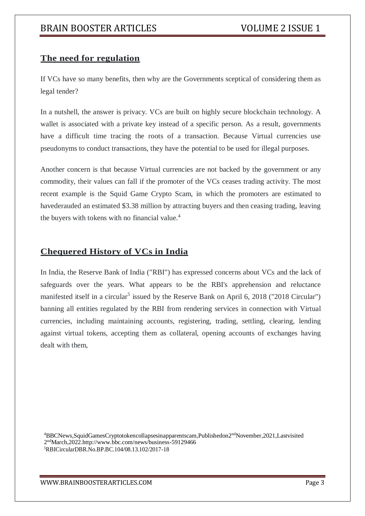# **The need for regulation**

If VCs have so many benefits, then why are the Governments sceptical of considering them as legal tender?

In a nutshell, the answer is privacy. VCs are built on highly secure blockchain technology. A wallet is associated with a private key instead of a specific person. As a result, governments have a difficult time tracing the roots of a transaction. Because Virtual currencies use pseudonyms to conduct transactions, they have the potential to be used for illegal purposes.

Another concern is that because Virtual currencies are not backed by the government or any commodity, their values can fall if the promoter of the VCs ceases trading activity. The most recent example is the Squid Game Crypto Scam, in which the promoters are estimated to havederauded an estimated \$3.38 million by attracting buyers and then ceasing trading, leaving the buyers with tokens with no financial value. $4$ 

## **Chequered History of VCs in India**

In India, the Reserve Bank of India ("RBI") has expressed concerns about VCs and the lack of safeguards over the years. What appears to be the RBI's apprehension and reluctance manifested itself in a circular<sup>5</sup> issued by the Reserve Bank on April 6, 2018 ("2018 Circular") banning all entities regulated by the RBI from rendering services in connection with Virtual currencies, including maintaining accounts, registering, trading, settling, clearing, lending against virtual tokens, accepting them as collateral, opening accounts of exchanges having dealt with them,

<sup>4</sup>BBCNews,SquidGamesCryptotokencollapsesinapparentscam,Publishedon2ndNovember,2021,Lastvisited 2 ndMarch,2022.http://www.bbc.com/news/business-59129466 5RBICircularDBR.No.BP.BC.104/08.13.102/2017-18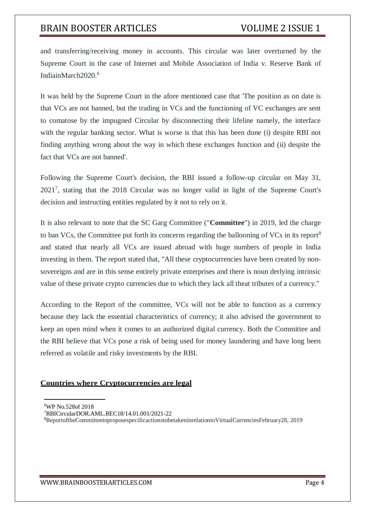and transferring/receiving money in accounts. This circular was later overturned by the Supreme Court in the case of Internet and Mobile Association of India v. Reserve Bank of IndiainMarch2020.<sup>6</sup>

It was held by the Supreme Court in the afore mentioned case that 'The position as on date is that VCs are not banned, but the trading in VCs and the functioning of VC exchanges are sent to comatose by the impugned Circular by disconnecting their lifeline namely, the interface with the regular banking sector. What is worse is that this has been done (i) despite RBI not finding anything wrong about the way in which these exchanges function and (ii) despite the fact that VCs are not banned'.

Following the Supreme Court's decision, the RBI issued a follow-up circular on May 31, 2021<sup>7</sup> , stating that the 2018 Circular was no longer valid in light of the Supreme Court's decision and instructing entities regulated by it not to rely on it.

It is also relevant to note that the SC Garg Committee ("**Committee**") in 2019, led the charge to ban VCs, the Committee put forth its concerns regarding the ballooning of VCs in its report<sup>8</sup> and stated that nearly all VCs are issued abroad with huge numbers of people in India investing in them. The report stated that, "All these cryptocurrencies have been created by nonsovereigns and are in this sense entirely private enterprises and there is noun derlying intrinsic value of these private crypto currencies due to which they lack all theat tributes of a currency."

According to the Report of the committee, VCs will not be able to function as a currency because they lack the essential characteristics of currency; it also advised the government to keep an open mind when it comes to an authorized digital currency. Both the Committee and the RBI believe that VCs pose a risk of being used for money laundering and have long been referred as volatile and risky investments by the RBI.

### **Countries where Cryptocurrencies are legal**

- <sup>7</sup>RBICircularDOR.AML.REC18/14.01.001/2021-22
- 8ReportoftheCommitteetoproposespecificactionstobetakeninrelationtoVirtualCurrenciesFebruary28, 2019

WWW.BRAINBOOSTERARTICLES.COM Page 4

<sup>6</sup>WP No.528of 2018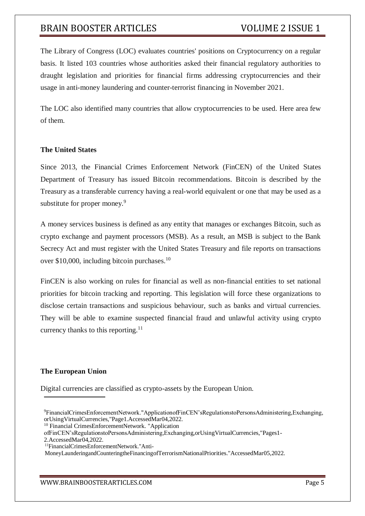The Library of Congress (LOC) evaluates countries' positions on Cryptocurrency on a regular basis. It listed 103 countries whose authorities asked their financial regulatory authorities to draught legislation and priorities for financial firms addressing cryptocurrencies and their usage in anti-money laundering and counter-terrorist financing in November 2021.

The LOC also identified many countries that allow cryptocurrencies to be used. Here area few of them.

#### **The United States**

Since 2013, the Financial Crimes Enforcement Network (FinCEN) of the United States Department of Treasury has issued Bitcoin recommendations. Bitcoin is described by the Treasury as a transferable currency having a real-world equivalent or one that may be used as a substitute for proper money.<sup>9</sup>

A money services business is defined as any entity that manages or exchanges Bitcoin, such as crypto exchange and payment processors (MSB). As a result, an MSB is subject to the Bank Secrecy Act and must register with the United States Treasury and file reports on transactions over \$10,000, including bitcoin purchases.<sup>10</sup>

FinCEN is also working on rules for financial as well as non-financial entities to set national priorities for bitcoin tracking and reporting. This legislation will force these organizations to disclose certain transactions and suspicious behaviour, such as banks and virtual currencies. They will be able to examine suspected financial fraud and unlawful activity using crypto currency thanks to this reporting.<sup>11</sup>

#### **The European Union**

Digital currencies are classified as crypto-assets by the European Union.

<sup>9</sup>FinancialCrimesEnforcementNetwork."ApplicationofFinCEN'sRegulationstoPersonsAdministering,Exchanging, orUsingVirtualCurrencies,"Page1.AccessedMar04,2022.

<sup>&</sup>lt;sup>10</sup> Financial CrimesEnforcementNetwork. "Application

ofFinCEN'sRegulationstoPersonsAdministering,Exchanging,orUsingVirtualCurrencies,"Pages1-

<sup>2.</sup>AccessedMar04,2022.

<sup>11</sup>FinancialCrimesEnforcementNetwork."Anti-

MoneyLaunderingandCounteringtheFinancingofTerrorismNationalPriorities."AccessedMar05,2022.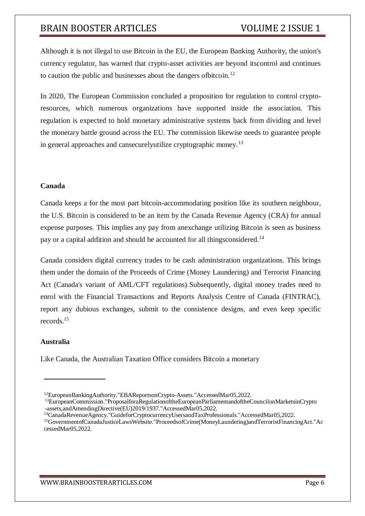Although it is not illegal to use Bitcoin in the EU, the European Banking Authority, the union's currency regulator, has warned that crypto-asset activities are beyond itscontrol and continues to caution the public and businesses about the dangers ofbitcoin.<sup>12</sup>

In 2020, The European Commission concluded a proposition for regulation to control cryptoresources, which numerous organizations have supported inside the association. This regulation is expected to hold monetary administrative systems back from dividing and level the monetary battle ground across the EU. The commission likewise needs to guarantee people in general approaches and cansecurelyutilize cryptographic money.<sup>13</sup>

#### **Canada**

Canada keeps a for the most part bitcoin-accommodating position like its southern neighbour, the U.S. Bitcoin is considered to be an item by the Canada Revenue Agency (CRA) for annual expense purposes. This implies any pay from anexchange utilizing Bitcoin is seen as business pay or a capital addition and should be accounted for all thingsconsidered.<sup>14</sup>

Canada considers digital currency trades to be cash administration organizations. This brings them under the domain of the Proceeds of Crime (Money Laundering) and Terrorist Financing Act (Canada's variant of AML/CFT regulations).Subsequently, digital money trades need to enrol with the Financial Transactions and Reports Analysis Centre of Canada (FINTRAC), report any dubious exchanges, submit to the consistence designs, and even keep specific records.<sup>15</sup>

#### **Australia**

Like Canada, the Australian Taxation Office considers Bitcoin a monetary

<sup>12</sup>EuropeanBankingAuthority."EBAReportsonCrypto-Assets."AccessedMar05,2022.

<sup>13</sup>EuropeanCommission."ProposalforaRegulationoftheEuropeanParliamentandoftheCouncilonMarketsinCrypto -assets,andAmendingDirective(EU)2019/1937."AccessedMar05,2022.

<sup>14</sup>CanadaRevenueAgency."GuideforCryptocurrencyUsersandTaxProfessionals."AccessedMar05,2022.

<sup>15</sup>GovernmentofCanadaJusticeLawsWebsite."ProceedsofCrime(MoneyLaundering)andTerroristFinancingAct."Ac cessedMar05,2022.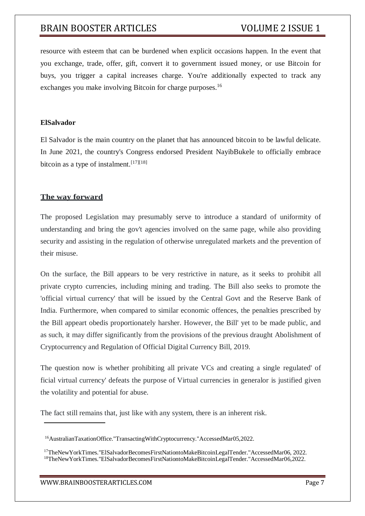resource with esteem that can be burdened when explicit occasions happen. In the event that you exchange, trade, offer, gift, convert it to government issued money, or use Bitcoin for buys, you trigger a capital increases charge. You're additionally expected to track any exchanges you make involving Bitcoin for charge purposes.<sup>16</sup>

#### **ElSalvador**

El Salvador is the main country on the planet that has announced bitcoin to be lawful delicate. In June 2021, the country's Congress endorsed President NayibBukele to officially embrace bitcoin as a type of instalment.<sup>[17][18]</sup>

### **The way forward**

The proposed Legislation may presumably serve to introduce a standard of uniformity of understanding and bring the gov't agencies involved on the same page, while also providing security and assisting in the regulation of otherwise unregulated markets and the prevention of their misuse.

On the surface, the Bill appears to be very restrictive in nature, as it seeks to prohibit all private crypto currencies, including mining and trading. The Bill also seeks to promote the 'official virtual currency' that will be issued by the Central Govt and the Reserve Bank of India. Furthermore, when compared to similar economic offences, the penalties prescribed by the Bill appeart obedis proportionately harsher. However, the Bill' yet to be made public, and as such, it may differ significantly from the provisions of the previous draught Abolishment of Cryptocurrency and Regulation of Official Digital Currency Bill, 2019.

The question now is whether prohibiting all private VCs and creating a single regulated' of ficial virtual currency' defeats the purpose of Virtual currencies in generalor is justified given the volatility and potential for abuse.

The fact still remains that, just like with any system, there is an inherent risk.

<sup>16</sup>AustralianTaxationOffice."TransactingWithCryptocurrency."AccessedMar05,2022.

<sup>17</sup>TheNewYorkTimes."ElSalvadorBecomesFirstNationtoMakeBitcoinLegalTender."AccessedMar06, 2022. 18TheNewYorkTimes."ElSalvadorBecomesFirstNationtoMakeBitcoinLegalTender."AccessedMar06,2022.